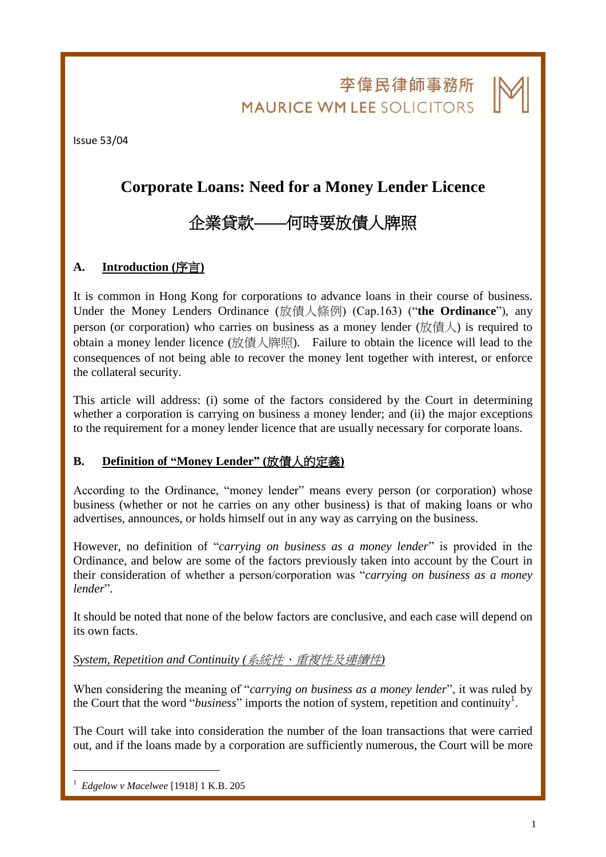李偉民律師事務所 **MAURICE WM LEE SOLICITORS** 

l.

Issue 53/04

## **Corporate Loans: Need for a Money Lender Licence**

# 企業貸款何時要放債人牌照

## **A. Introduction (**序言**)**

It is common in Hong Kong for corporations to advance loans in their course of business. Under the Money Lenders Ordinance (放債人條例) (Cap.163) ("**the Ordinance**"), any person (or corporation) who carries on business as a money lender (放債人) is required to obtain a money lender licence (放債人牌照). Failure to obtain the licence will lead to the consequences of not being able to recover the money lent together with interest, or enforce the collateral security.

This article will address: (i) some of the factors considered by the Court in determining whether a corporation is carrying on business a money lender; and (ii) the major exceptions to the requirement for a money lender licence that are usually necessary for corporate loans.

## **B. Definition of "Money Lender" (**放債人的定義**)**

According to the Ordinance, "money lender" means every person (or corporation) whose business (whether or not he carries on any other business) is that of making loans or who advertises, announces, or holds himself out in any way as carrying on the business.

However, no definition of "*carrying on business as a money lender*" is provided in the Ordinance, and below are some of the factors previously taken into account by the Court in their consideration of whether a person/corporation was "*carrying on business as a money lender*".

It should be noted that none of the below factors are conclusive, and each case will depend on its own facts.

#### *System, Repetition and Continuity (*系統性、重複性及連續性*)*

When considering the meaning of "*carrying on business as a money lender*", it was ruled by the Court that the word "*business*" imports the notion of system, repetition and continuity<sup>1</sup>.

The Court will take into consideration the number of the loan transactions that were carried out, and if the loans made by a corporation are sufficiently numerous, the Court will be more

1

<sup>1</sup> *Edgelow v Macelwee* [1918] 1 K.B. 205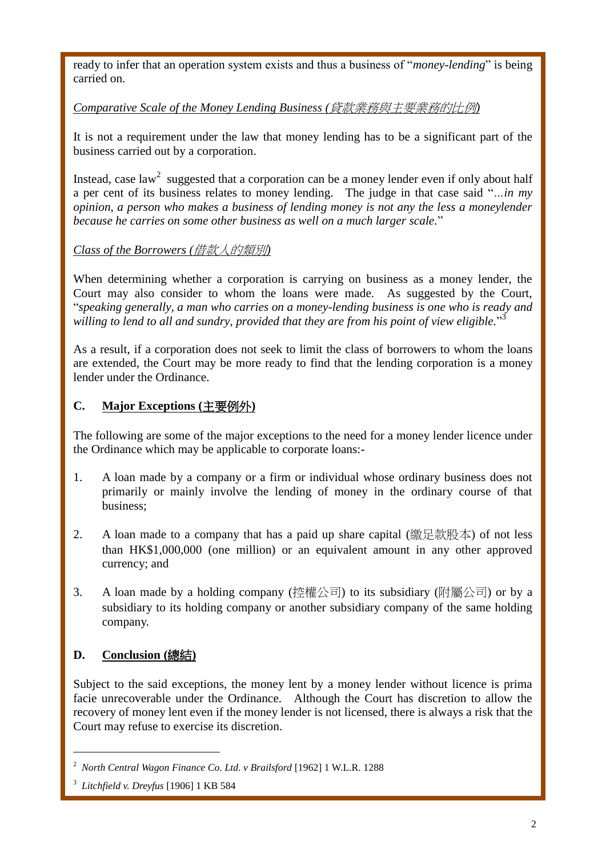ready to infer that an operation system exists and thus a business of "*money-lending*" is being carried on.

## *Comparative Scale of the Money Lending Business (*貸款業務與主要業務的比例*)*

It is not a requirement under the law that money lending has to be a significant part of the business carried out by a corporation.

Instead, case law<sup>2</sup> suggested that a corporation can be a money lender even if only about half a per cent of its business relates to money lending. The judge in that case said "*…in my opinion, a person who makes a business of lending money is not any the less a moneylender because he carries on some other business as well on a much larger scale.*"

## *Class of the Borrowers (*借款人的類別*)*

When determining whether a corporation is carrying on business as a money lender, the Court may also consider to whom the loans were made. As suggested by the Court, "*speaking generally, a man who carries on a money-lending business is one who is ready and willing to lend to all and sundry, provided that they are from his point of view eligible.*" 3

As a result, if a corporation does not seek to limit the class of borrowers to whom the loans are extended, the Court may be more ready to find that the lending corporation is a money lender under the Ordinance.

## **C. Major Exceptions (**主要例外**)**

The following are some of the major exceptions to the need for a money lender licence under the Ordinance which may be applicable to corporate loans:-

- 1. A loan made by a company or a firm or individual whose ordinary business does not primarily or mainly involve the lending of money in the ordinary course of that business;
- 2. A loan made to a company that has a paid up share capital (繳足款股本) of not less than HK\$1,000,000 (one million) or an equivalent amount in any other approved currency; and
- 3. A loan made by a holding company (控權公司) to its subsidiary (附屬公司) or by a subsidiary to its holding company or another subsidiary company of the same holding company.

## **D. Conclusion (**總結**)**

1

Subject to the said exceptions, the money lent by a money lender without licence is prima facie unrecoverable under the Ordinance. Although the Court has discretion to allow the recovery of money lent even if the money lender is not licensed, there is always a risk that the Court may refuse to exercise its discretion.

l.

<sup>2</sup> *North Central Wagon Finance Co. Ltd. v Brailsford* [1962] 1 W.L.R. 1288

<sup>3</sup> *Litchfield v. Dreyfus* [1906] 1 KB 584